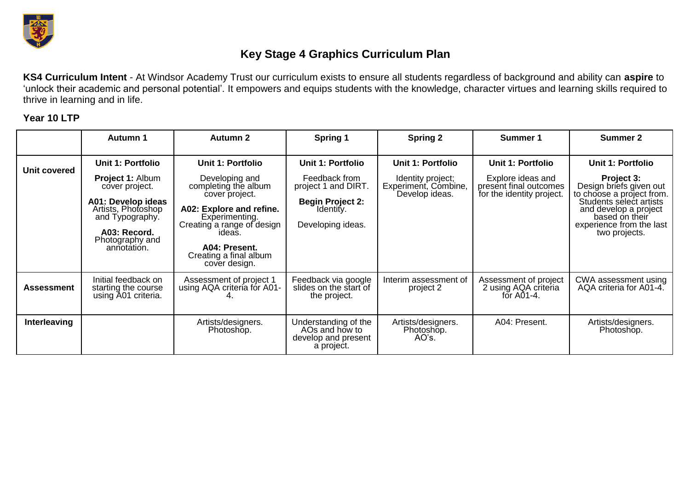

## **Key Stage 4 Graphics Curriculum Plan**

**KS4 Curriculum Intent** - At Windsor Academy Trust our curriculum exists to ensure all students regardless of background and ability can **aspire** to 'unlock their academic and personal potential'. It empowers and equips students with the knowledge, character virtues and learning skills required to thrive in learning and in life.

## **Year 10 LTP**

|                     | <b>Autumn 1</b>                                                                                                                                                                 | <b>Autumn 2</b>                                                                                                                                                                                                                        | Spring 1                                                                                                               | <b>Spring 2</b>                                                                  | Summer 1                                                                                             | <b>Summer 2</b>                                                                                                                                                                                                   |
|---------------------|---------------------------------------------------------------------------------------------------------------------------------------------------------------------------------|----------------------------------------------------------------------------------------------------------------------------------------------------------------------------------------------------------------------------------------|------------------------------------------------------------------------------------------------------------------------|----------------------------------------------------------------------------------|------------------------------------------------------------------------------------------------------|-------------------------------------------------------------------------------------------------------------------------------------------------------------------------------------------------------------------|
| <b>Unit covered</b> | Unit 1: Portfolio<br><b>Project 1: Album</b><br>cover project.<br>A01: Develop ideas<br>Artists, Photoshop<br>and Typography.<br>A03: Record.<br>Photography and<br>annotation. | <b>Unit 1: Portfolio</b><br>Developing and<br>completing the album<br>cover project.<br>A02: Explore and refine.<br>Experimenting.<br>Creating a range of design<br>ideas.<br>A04: Present.<br>Creating a final album<br>cover design. | Unit 1: Portfolio<br>Feedback from<br>project 1 and DIRT.<br><b>Begin Project 2:</b><br>Identity.<br>Developing ideas. | Unit 1: Portfolio<br>Identity project;<br>Experiment, Combine,<br>Develop ideas. | <b>Unit 1: Portfolio</b><br>Explore ideas and<br>present final outcomes<br>for the identity project. | <b>Unit 1: Portfolio</b><br>Project 3:<br>Design briefs given out<br>to choose a project from.<br>Students select artists<br>and develop a project<br>based on their<br>experience from the last<br>two projects. |
| Assessment          | Initial feedback on<br>starting the course<br>using A01 criteria.                                                                                                               | Assessment of project 1<br>using AQA criteria for A01-                                                                                                                                                                                 | Feedback via google<br>slides on the start of<br>the project.                                                          | Interim assessment of<br>project 2                                               | Assessment of project<br>2 using AQA criteria<br>for $A01-4$ .                                       | CWA assessment using<br>AQA criteria for A01-4.                                                                                                                                                                   |
| Interleaving        |                                                                                                                                                                                 | Artists/designers.<br>Photoshop.                                                                                                                                                                                                       | Understanding of the<br>AOs and how to<br>develop and present<br>a project.                                            | Artists/designers.<br>Photoshop.<br>AO's.                                        | A04: Present.                                                                                        | Artists/designers.<br>Photoshop.                                                                                                                                                                                  |